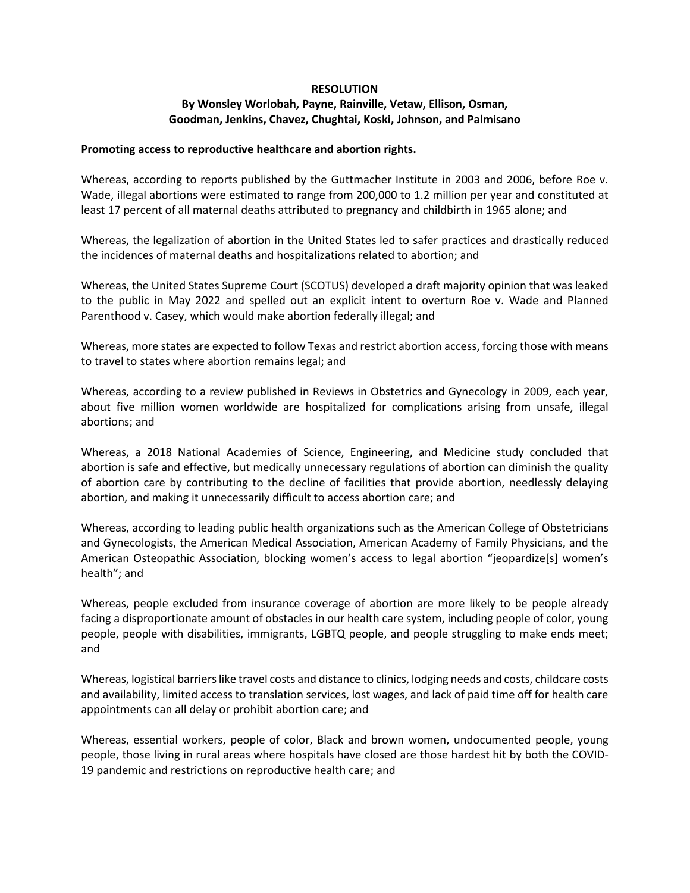## **RESOLUTION**

## **By Wonsley Worlobah, Payne, Rainville, Vetaw, Ellison, Osman, Goodman, Jenkins, Chavez, Chughtai, Koski, Johnson, and Palmisano**

## **Promoting access to reproductive healthcare and abortion rights.**

Whereas, according to reports published by the Guttmacher Institute in 2003 and 2006, before Roe v. Wade, illegal abortions were estimated to range from 200,000 to 1.2 million per year and constituted at least 17 percent of all maternal deaths attributed to pregnancy and childbirth in 1965 alone; and

Whereas, the legalization of abortion in the United States led to safer practices and drastically reduced the incidences of maternal deaths and hospitalizations related to abortion; and

Whereas, the United States Supreme Court (SCOTUS) developed a draft majority opinion that was leaked to the public in May 2022 and spelled out an explicit intent to overturn Roe v. Wade and Planned Parenthood v. Casey, which would make abortion federally illegal; and

Whereas, more states are expected to follow Texas and restrict abortion access, forcing those with means to travel to states where abortion remains legal; and

Whereas, according to a review published in Reviews in Obstetrics and Gynecology in 2009, each year, about five million women worldwide are hospitalized for complications arising from unsafe, illegal abortions; and

Whereas, a 2018 National Academies of Science, Engineering, and Medicine study concluded that abortion is safe and effective, but medically unnecessary regulations of abortion can diminish the quality of abortion care by contributing to the decline of facilities that provide abortion, needlessly delaying abortion, and making it unnecessarily difficult to access abortion care; and

Whereas, according to leading public health organizations such as the American College of Obstetricians and Gynecologists, the American Medical Association, American Academy of Family Physicians, and the American Osteopathic Association, blocking women's access to legal abortion "jeopardize[s] women's health"; and

Whereas, people excluded from insurance coverage of abortion are more likely to be people already facing a disproportionate amount of obstacles in our health care system, including people of color, young people, people with disabilities, immigrants, LGBTQ people, and people struggling to make ends meet; and

Whereas, logistical barriers like travel costs and distance to clinics, lodging needs and costs, childcare costs and availability, limited access to translation services, lost wages, and lack of paid time off for health care appointments can all delay or prohibit abortion care; and

Whereas, essential workers, people of color, Black and brown women, undocumented people, young people, those living in rural areas where hospitals have closed are those hardest hit by both the COVID-19 pandemic and restrictions on reproductive health care; and